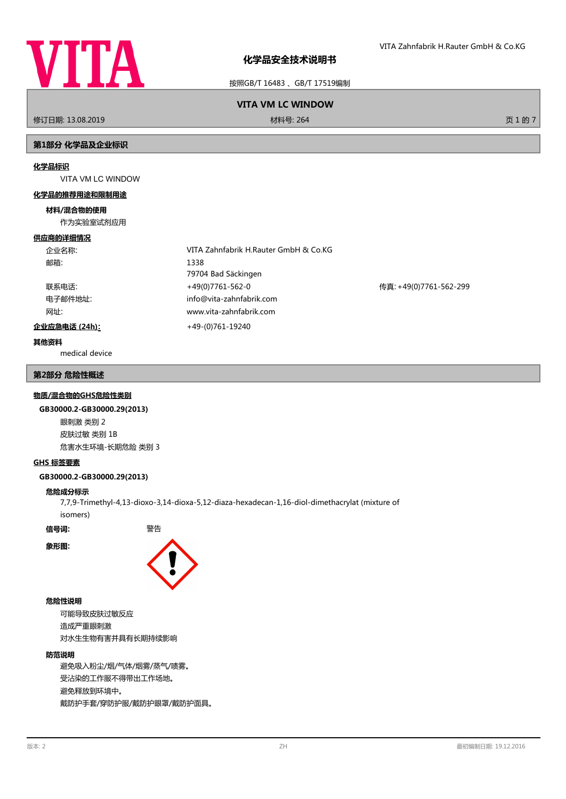

按照GB/T 16483 、GB/T 17519编制

# **VITA VM LC WINDOW**

修订日期: 13.08.2019 材料号: 264 页 1 的 7

# **第1部分 化学品及企业标识**

#### **化学品标识**

VITA VM LC WINDOW

#### **化学品的推荐用途和限制用途**

#### **材料/混合物的使用**

作为实验室试剂应用

#### **供应商的详细情况**

| 企业名称:         | VITA Zahnfabrik H.Rauter GmbH & Co.KG |                        |  |
|---------------|---------------------------------------|------------------------|--|
| 邮箱:           | 1338                                  |                        |  |
|               | 79704 Bad Säckingen                   |                        |  |
| 联系电话:         | +49(0)7761-562-0                      | 传真: +49(0)7761-562-299 |  |
| 电子邮件地址:       | info@vita-zahnfabrik.com              |                        |  |
| 网址:           | www.vita-zahnfabrik.com               |                        |  |
| 企业应急电话 (24h): | +49-(0)761-19240                      |                        |  |

# **其他资料**

medical device

# **第2部分 危险性概述**

#### **物质/混合物的GHS危险性类别**

#### **GB30000.2-GB30000.29(2013)**

眼刺激 类别 2 皮肤过敏 类别 1B 危害水生环境-长期危险 类别 3

# **GHS 标签要素**

#### **GB30000.2-GB30000.29(2013)**

#### **危险成分标示**

7,7,9-Trimethyl-4,13-dioxo-3,14-dioxa-5,12-diaza-hexadecan-1,16-diol-dimethacrylat (mixture of isomers)

**信号词:** 警告

**象形图:**



## **危险性说明**

可能导致皮肤过敏反应 造成严重眼刺激 对水生生物有害并具有长期持续影响

# **防范说明**

避免吸入粉尘/烟/气体/烟雾/蒸气/啧雾。 受沾染的工作服不得带出工作场地。 避免释放到环境中。 戴防护手套/穿防护服/戴防护眼罩/戴防护面具。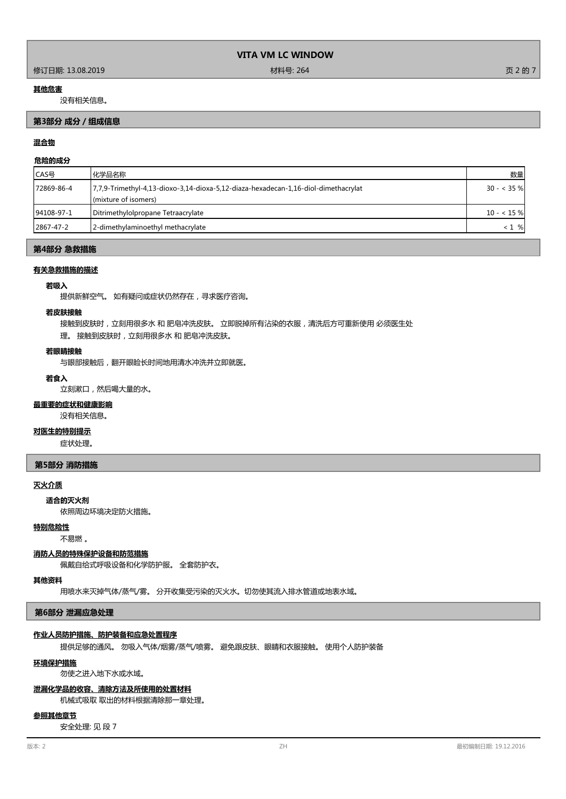#### 修订日期: 13.08.2019 材料号: 264 页 2 的 7

#### **其他危害**

没有相关信息。

# **第3部分 成分/组成信息**

# **混合物**

# **危险的成分**

| ICAS号      | 化学品名称                                                                                                      | 数量           |
|------------|------------------------------------------------------------------------------------------------------------|--------------|
| 72869-86-4 | 7,7,9-Trimethyl-4,13-dioxo-3,14-dioxa-5,12-diaza-hexadecan-1,16-diol-dimethacrylat<br>(mixture of isomers) | $30 - 35 \%$ |
| 94108-97-1 | Ditrimethylolpropane Tetraacrylate                                                                         | $10 - 15%$   |
| 2867-47-2  | 2-dimethylaminoethyl methacrylate                                                                          | $< 1$ %      |

#### **第4部分 急救措施**

#### **有关急救措施的描述**

# **若吸入**

提供新鲜空气。 如有疑问或症状仍然存在,寻求医疗咨询。

## **若皮肤接触**

接触到皮肤时,立刻用很多水 和 肥皂冲洗皮肤。 立即脱掉所有沾染的衣服,清洗后方可重新使用 必须医生处

理。 接触到皮肤时,立刻用很多水 和 肥皂冲洗皮肤。

#### **若眼睛接触**

与眼部接触后,翻开眼睑长时间地用清水冲洗并立即就医。

# **若食入**

立刻漱口,然后喝大量的水。

# **最重要的症状和健康影响**

没有相关信息。

# **对医生的特别提示**

症状处理。

#### **第5部分 消防措施**

#### **灭火介质**

依照周边环境决定防火措施。 **适合的灭火剂**

# **特别危险性**

不易燃 。

#### **消防人员的特殊保护设备和防范措施**

佩戴自给式呼吸设备和化学防护服。 全套防护衣。

#### **其他资料**

用喷水来灭掉气体/蒸气/雾。 分开收集受污染的灭火水。切勿使其流入排水管道或地表水域。

#### **第6部分 泄漏应急处理**

#### **作业人员防护措施、防护装备和应急处置程序**

提供足够的通风。 勿吸入气体/烟雾/蒸气/喷雾。 避免跟皮肤、眼睛和衣服接触。 使用个人防护装备

#### **环境保护措施**

勿使之进入地下水或水域。

#### **泄漏化学品的收容、清除方法及所使用的处置材料**

机械式吸取 取出的材料根据清除那一章处理。

#### **参照其他章节**

安全处理: 见 段 7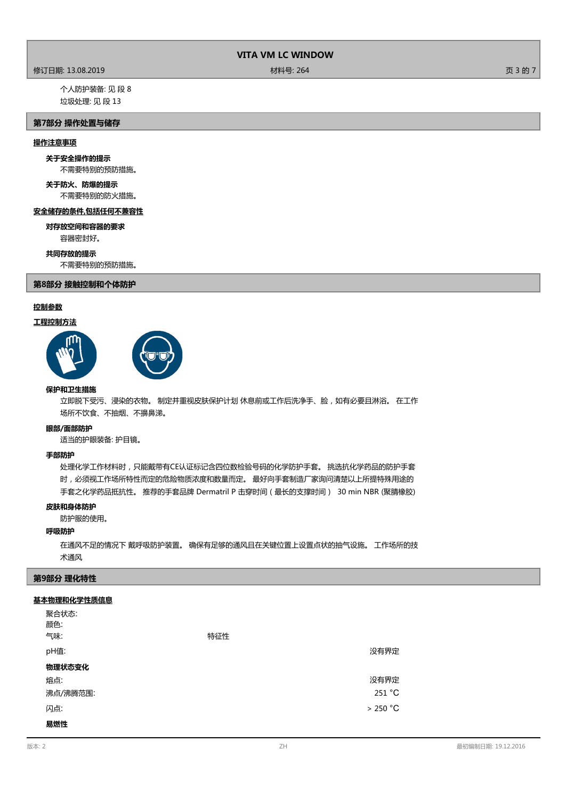# 修订日期: 13.08.2019 材料号: 264 页 3 的 7

个人防护装备: 见 段 8 垃圾处理: 见 段 13

# **第7部分 操作处置与储存**

# **操作注意事项**

# **关于安全操作的提示**

不需要特别的预防措施。

# **关于防火、防爆的提示**

不需要特别的防火措施。

# **安全储存的条件,包括任何不兼容性**

容器密封好。 **对存放空间和容器的要求**

#### **共同存放的提示**

不需要特别的预防措施。

# **第8部分 接触控制和个体防护**

# **控制参数**

# **工程控制方法**





#### **保护和卫生措施**

立即脱下受污、浸染的衣物。 制定并重视皮肤保护计划 休息前或工作后洗净手、脸,如有必要且淋浴。 在工作 场所不饮食、不抽烟、不擤鼻涕。

#### **眼部/面部防护**

适当的护眼装备: 护目镜。

#### **手部防护**

处理化学工作材料时,只能戴带有CE认证标记含四位数检验号码的化学防护手套。 挑选抗化学药品的防护手套 时,必须视工作场所特性而定的危险物质浓度和数量而定。 最好向手套制造厂家询问清楚以上所提特殊用途的 手套之化学药品抵抗性。 推荐的手套品牌 Dermatril P 击穿时间(最长的支撑时间) 30 min NBR (聚腈橡胶)

# **皮肤和身体防护**

防护服的使用。

# **呼吸防护**

在通风不足的情况下 戴呼吸防护装置。 确保有足够的通风且在关键位置上设置点状的抽气设施。 工作场所的技 术通风

# **第9部分 理化特性**

# **基本物理和化学性质信息**

| 聚合状态:<br>颜色:<br>气味: | 特征性 |          |
|---------------------|-----|----------|
| pH值:                |     | 没有界定     |
| 物理状态变化              |     |          |
| 熔点:                 |     | 没有界定     |
| 沸点/沸腾范围:            |     | 251 °C   |
| 闪点:                 |     | > 250 °C |
| 易燃性                 |     |          |

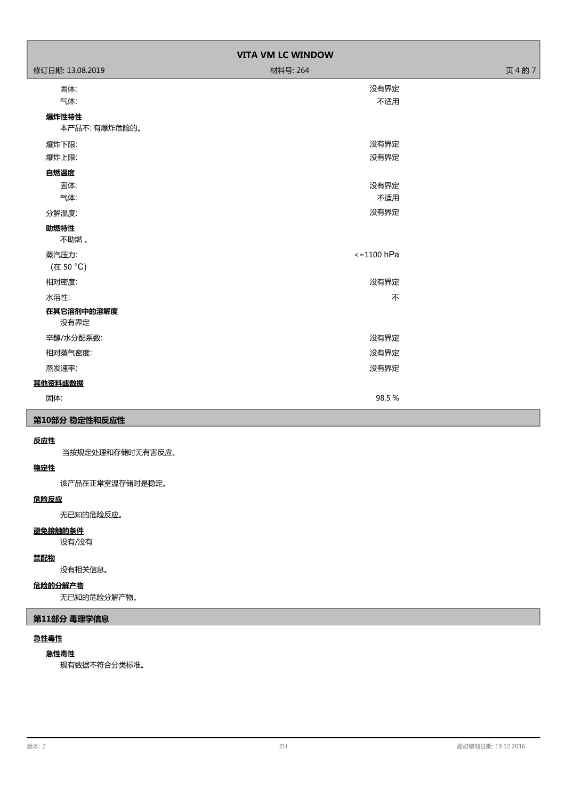| <b>VITA VM LC WINDOW</b> |                      |         |  |
|--------------------------|----------------------|---------|--|
| 修订日期: 13.08.2019         | 材料号: 264             | 页 4 的 7 |  |
| 固体:                      | 没有界定                 |         |  |
| 气体:                      | 不适用                  |         |  |
| 爆炸性特性                    |                      |         |  |
| 本产品不: 有爆炸危险的。            |                      |         |  |
| 爆炸下限:                    | 没有界定                 |         |  |
| 爆炸上限:                    | 没有界定                 |         |  |
| 自燃温度                     |                      |         |  |
| 固体:                      | 没有界定                 |         |  |
| 气体:                      | 不适用                  |         |  |
| 分解温度:                    | 没有界定                 |         |  |
| 助燃特性                     |                      |         |  |
| 不助燃。                     |                      |         |  |
| 蒸汽压力:                    | $\epsilon$ =1100 hPa |         |  |
| (在 50 °C)                |                      |         |  |
| 相对密度:                    | 没有界定                 |         |  |
| 水溶性:                     | 不                    |         |  |
| 在其它溶剂中的溶解度               |                      |         |  |
| 没有界定                     |                      |         |  |
| 辛醇/水分配系数:                | 没有界定                 |         |  |
| 相对蒸气密度:                  | 没有界定                 |         |  |
| 蒸发速率:                    | 没有界定                 |         |  |
| 其他资料或数据                  |                      |         |  |
| 固体:                      | 98,5%                |         |  |
| 第10部分 稳定性和反应性            |                      |         |  |

# **反应性**

当按规定处理和存储时无有害反应。

# **稳定性**

该产品在正常室温存储时是稳定。

# **危险反应**

无已知的危险反应。

# **避免接触的条件**

没有/没有

# **禁配物**

没有相关信息。

# **危险的分解产物**

无已知的危险分解产物。

# **第11部分 毒理学信息**

# **急性毒性**

# **急性毒性**

现有数据不符合分类标准。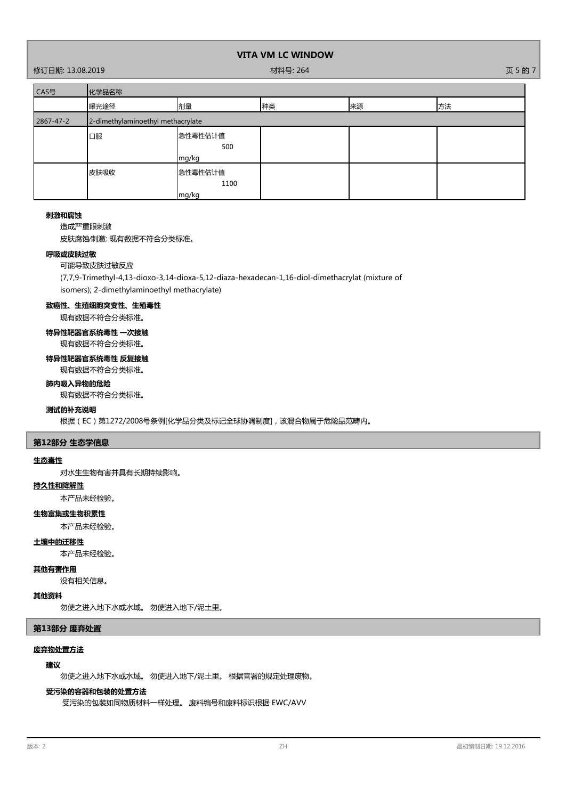# 修订日期: 13.08.2019 材料号: 264 页 5 的 7

| CAS号      | 化学品名称                             |                          |    |    |    |
|-----------|-----------------------------------|--------------------------|----|----|----|
|           | 曝光途径                              | 剂量                       | 种类 | 来源 | 方法 |
| 2867-47-2 | 2-dimethylaminoethyl methacrylate |                          |    |    |    |
|           | 口服                                | 急性毒性估计值<br>500<br>mg/kg  |    |    |    |
|           | 皮肤吸收                              | 急性毒性估计值<br>1100<br>mg/kg |    |    |    |

#### **刺激和腐蚀**

造成严重眼刺激

皮肤腐蚀∕刺激: 现有数据不符合分类标准。

# **呼吸或皮肤过敏**

# 可能导致皮肤过敏反应

(7,7,9-Trimethyl-4,13-dioxo-3,14-dioxa-5,12-diaza-hexadecan-1,16-diol-dimethacrylat (mixture of isomers); 2-dimethylaminoethyl methacrylate)

# **致癌性、生殖细胞突变性、生殖毒性**

现有数据不符合分类标准。

# **特异性靶器官系统毒性 一次接触** 现有数据不符合分类标准。

# **特异性靶器官系统毒性 反复接触**

现有数据不符合分类标准。

# **肺内吸入异物的危险**

现有数据不符合分类标准。

# **测试的补充说明**

根据(EC)第1272/2008号条例[化学品分类及标记全球协调制度],该混合物属于危险品范畴内。

#### **第12部分 生态学信息**

#### **生态毒性**

对水生生物有害并具有长期持续影响。

# **持久性和降解性**

本产品未经检验。

# **生物富集或生物积累性**

本产品未经检验。

# **土壤中的迁移性**

本产品未经检验。

# **其他有害作用**

没有相关信息。

# **其他资料**

勿使之进入地下水或水域。 勿使进入地下/泥土里。

#### **第13部分 废弃处置**

### **废弃物处置方法**

# **建议**

勿使之进入地下水或水域。 勿使进入地下/泥土里。 根据官署的规定处理废物。

# **受污染的容器和包装的处置方法**

受污染的包装如同物质材料一样处理。 废料编号和废料标识根据 EWC/AVV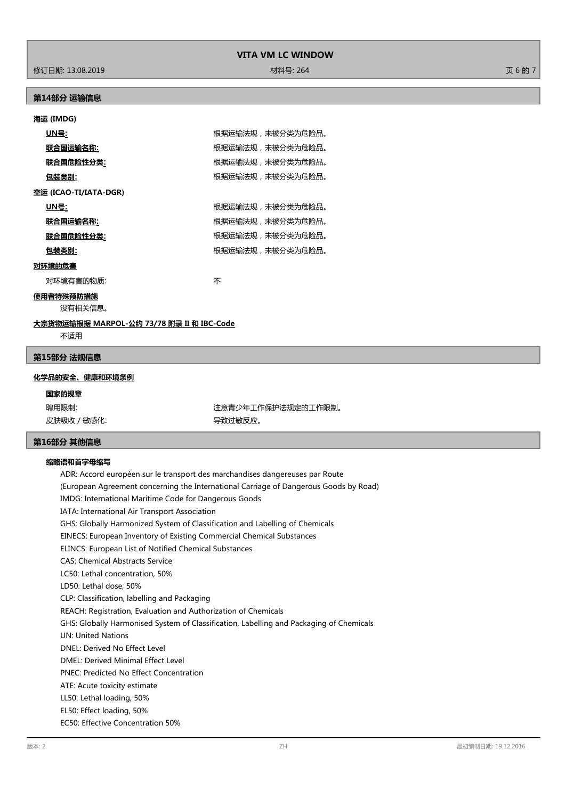修订日期: 13.08.2019 材料号: 264 页 6 的 7

# **第14部分 运输信息**

# **海运 (IMDG)**

| UN号:                  | 根据运输法规,未被分类为危险品。 |
|-----------------------|------------------|
| 联合国运输名称:              | 根据运输法规,未被分类为危险品。 |
| 联合国危险性分类:             | 根据运输法规,未被分类为危险品。 |
| 包装类别:                 | 根据运输法规,未被分类为危险品。 |
| 空运 (ICAO-TI/IATA-DGR) |                  |
| UN号:                  | 根据运输法规,未被分类为危险品。 |
| 联合国运输名称:              | 根据运输法规,未被分类为危险品。 |
| 联合国危险性分类:             | 根据运输法规,未被分类为危险品。 |
| 包装类别:                 | 根据运输法规,未被分类为危险品。 |
| 对环境的危害                |                  |
| 对环境有害的物质:             | 不                |

**使用者特殊预防措施**

没有相关信息。

# **大宗货物运输根据 MARPOL-公约 73/78 附录 II 和 IBC-Code**

不适用

# **第15部分 法规信息**

# **化学品的安全、健康和环境条例**

# **国家的规章**

聘用限制: 第2022年 第2022年 第2022年工作保护法规定的工作限制。 皮肤吸收 / 敏感化: カランチン インストリック マンクロック 导致过敏反应。

# **第16部分 其他信息**

## **缩略语和首字母缩写**

ADR: Accord européen sur le transport des marchandises dangereuses par Route (European Agreement concerning the International Carriage of Dangerous Goods by Road) IMDG: International Maritime Code for Dangerous Goods IATA: International Air Transport Association GHS: Globally Harmonized System of Classification and Labelling of Chemicals EINECS: European Inventory of Existing Commercial Chemical Substances ELINCS: European List of Notified Chemical Substances CAS: Chemical Abstracts Service LC50: Lethal concentration, 50% LD50: Lethal dose, 50% CLP: Classification, labelling and Packaging REACH: Registration, Evaluation and Authorization of Chemicals GHS: Globally Harmonised System of Classification, Labelling and Packaging of Chemicals UN: United Nations DNEL: Derived No Effect Level DMEL: Derived Minimal Effect Level PNEC: Predicted No Effect Concentration ATE: Acute toxicity estimate LL50: Lethal loading, 50% EL50: Effect loading, 50% EC50: Effective Concentration 50%